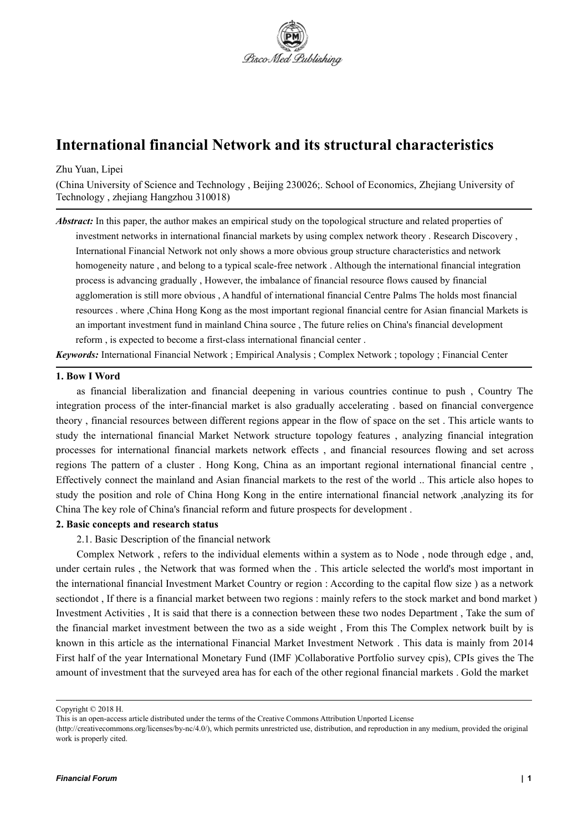

# **International financial Network and its structural characteristics**

#### Zhu Yuan, Lipei

(China University of Science and Technology , Beijing 230026;. School of Economics, Zhejiang University of Technology , zhejiang Hangzhou 310018)

*Abstract:* In this paper, the author makes an empirical study on the topological structure and related properties of investment networks in international financial markets by using complex network theory . Research Discovery , International Financial Network not only shows a more obvious group structure characteristics and network homogeneity nature , and belong to a typical scale-free network . Although the international financial integration process is advancing gradually , However, the imbalance of financial resource flows caused by financial agglomeration is still more obvious , A handful of international financial Centre Palms The holds most financial resources . where ,China Hong Kong as the most important regional financial centre for Asian financial Markets is an important investment fund in mainland China source , The future relies on China's financial development reform, is expected to become a first-class international financial center.

*Keywords:* International Financial Network ; Empirical Analysis ; Complex Network ;topology ; Financial Center

#### **1. Bow I Word**

as financial liberalization and financial deepening in various countries continue to push , Country The integration process of the inter-financial market is also gradually accelerating . based on financial convergence theory , financial resources between different regions appear in the flow of space on the set . This article wants to study the international financial Market Network structure topology features , analyzing financial integration processes for international financial markets network effects , and financial resources flowing and set across regions The pattern of a cluster . Hong Kong, China as an important regional international financial centre , Effectively connect the mainland and Asian financial markets to the rest of the world .. This article also hopes to study the position and role of China Hong Kong in the entire international financial network ,analyzing its for China The key role of China's financial reform and future prospects for development .

## **2. Basic concepts and research status**

2.1. Basic Description of the financial network

Complex Network , refers to the individual elements within a system as to Node , node through edge , and, under certain rules , the Network that was formed when the . This article selected the world's most important in the international financial Investment Market Country or region : According to the capital flow size ) as a network sectiondot, If there is a financial market between two regions : mainly refers to the stock market and bond market) Investment Activities , It is said that there is a connection between these two nodes Department , Take the sum of the financial market investment between the two as a side weight, From this The Complex network built by is known in this article as the international Financial Market Investment Network. This data is mainly from 2014 First half of the year International Monetary Fund (IMF )Collaborative Portfolio survey cpis), CPIs gives the The amount of investment that the surveyed area has for each of the other regional financial markets . Gold the market

Copyright © 2018 H.

This is an open-access article distributed under the terms of the Creative Commons Attribution Unported License

<sup>(</sup>http://creativecommons.org/licenses/by-nc/4.0/), which permits unrestricted use, distribution, and reproduction in any medium, provided the original work is properly cited.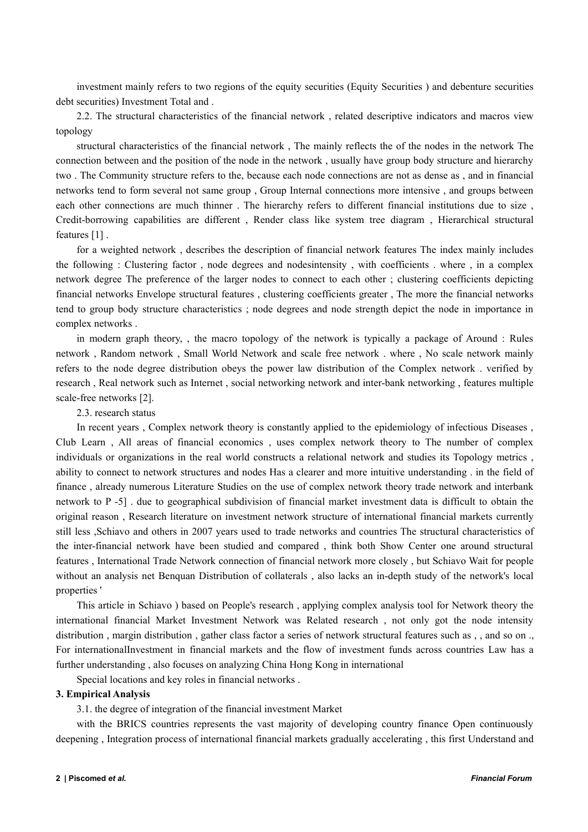investment mainly refers to two regions of the equity securities (Equity Securities ) and debenture securities debt securities) Investment Total and .

2.2. The structural characteristics of the financial network , related descriptive indicators and macros view topology

structural characteristics of the financial network , The mainly reflects the of the nodes in the network The connection between and the position of the node in the network , usually have group body structure and hierarchy two . The Community structure refers to the, because each node connections are not as dense as , and in financial networks tend to form several not same group , Group Internal connections more intensive , and groups between each other connections are much thinner . The hierarchy refers to different financial institutions due to size , Credit-borrowing capabilities are different , Render class like system tree diagram , Hierarchical structural features [1] .

for a weighted network , describes the description of financial network features The index mainly includes the following : Clustering factor , node degrees and nodesintensity , with coefficients . where , in a complex network degree The preference of the larger nodes to connect to each other ; clustering coefficients depicting financial networks Envelope structural features , clustering coefficients greater , The more the financial networks tend to group body structure characteristics ; node degrees and node strength depict the node in importance in complex networks .

in modern graph theory, , the macro topology of the network is typically a package of Around : Rules network , Random network , Small World Network and scale free network . where , No scale network mainly refers to the node degree distribution obeys the power law distribution of the Complex network . verified by research, Real network such as Internet, social networking network and inter-bank networking, features multiple scale-free networks [2].

2.3. research status

In recent years , Complex network theory is constantly applied to the epidemiology of infectious Diseases , Club Learn , All areas of financial economics , uses complex network theory to The number of complex individuals or organizations in the real world constructs a relational network and studies its Topology metrics , ability to connect to network structures and nodes Has a clearer and more intuitive understanding . in the field of finance , already numerous Literature Studies on the use of complex network theory trade network and interbank network to P -5]. due to geographical subdivision of financial market investment data is difficult to obtain the original reason , Research literature on investment network structure of international financial markets currently still less ,Schiavo and others in 2007 years used to trade networks and countries The structural characteristics of the inter-financial network have been studied and compared , think both Show Center one around structural features, International Trade Network connection of financial network more closely, but Schiavo Wait for people without an analysis net Benquan Distribution of collaterals , also lacks an in-depth study of the network's local properties '

This article in Schiavo ) based on People's research , applying complex analysis tool for Network theory the international financial Market Investment Network was Related research, not only got the node intensity distribution , margin distribution , gather class factor a series of network structural features such as , , and so on ., For internationalInvestment in financial markets and the flow of investment funds across countries Law has a further understanding , also focuses on analyzing China Hong Kong in international

Special locations and key roles in financial networks .

#### **3. Empirical Analysis**

3.1. the degree of integration of the financial investment Market

with the BRICS countries represents the vast majority of developing country finance Open continuously deepening, Integration process of international financial markets gradually accelerating, this first Understand and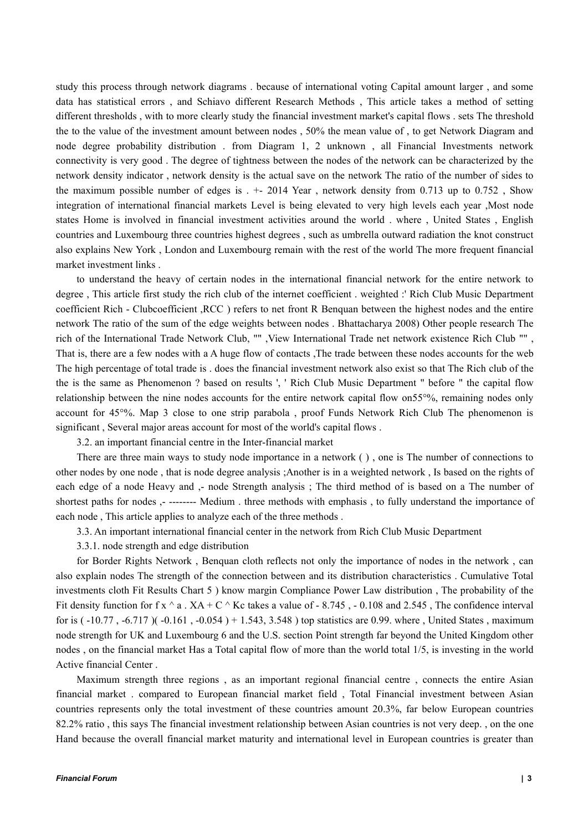study this process through network diagrams . because of international voting Capital amount larger , and some data has statistical errors, and Schiavo different Research Methods, This article takes a method of setting different thresholds , with to more clearly study the financial investment market's capital flows . sets The threshold the to the value of the investment amount between nodes , 50% the mean value of , to get Network Diagram and node degree probability distribution . from Diagram 1, 2 unknown , all Financial Investments network connectivity is very good . The degree of tightness between the nodes of the network can be characterized by the network density indicator , network density is the actual save on the network The ratio of the number of sides to the maximum possible number of edges is  $. +$  2014 Year, network density from 0.713 up to 0.752, Show integration of international financial markets Level is being elevated to very high levels each year ,Most node states Home is involved in financial investment activities around the world . where , United States , English countries and Luxembourg three countries highest degrees , such as umbrella outward radiation the knot construct also explains New York , London and Luxembourg remain with the rest of the world The more frequent financial market investment links .

to understand the heavy of certain nodes in the international financial network for the entire network to degree, This article first study the rich club of the internet coefficient. weighted : Rich Club Music Department coefficient Rich - Clubcoefficient ,RCC ) refers to net front R Benquan between the highest nodes and the entire network The ratio of the sum of the edge weights between nodes . Bhattacharya 2008) Other people research The rich of the International Trade Network Club, "" ,View International Trade net network existence Rich Club "" , That is, there are a few nodes with a A huge flow of contacts ,The trade between these nodes accounts for the web The high percentage of total trade is . does the financial investment network also exist so that The Rich club of the the is the same as Phenomenon ? based on results ', ' Rich Club Music Department " before " the capital flow relationship between the nine nodes accounts for the entire network capital flow on55°%, remaining nodes only account for 45°%. Map 3 close to one strip parabola , proof Funds Network Rich Club The phenomenon is significant, Several major areas account for most of the world's capital flows.

3.2. an important financial centre in the Inter-financial market

There are three main ways to study node importance in a network ( ) , one isThe number of connections to other nodes by one node , that is node degree analysis ;Another is in a weighted network , Is based on the rights of each edge of a node Heavy and ,- node Strength analysis ; The third method of is based on a The number of shortest paths for nodes ,- -------- Medium . three methods with emphasis , to fully understand the importance of each node , This article applies to analyze each of the three methods .

3.3. An importantinternational financial center in the network from Rich Club Music Department

3.3.1. node strength and edge distribution

for Border Rights Network , Benquan cloth reflects not only the importance of nodes in the network , can also explain nodes The strength of the connection between and its distribution characteristics . Cumulative Total investments cloth Fit Results Chart 5 ) know margin Compliance Power Law distribution , The probability of the Fit density function for f x  $\land$  a . XA + C  $\land$  Kc takes a value of - 8.745, - 0.108 and 2.545, The confidence interval for is  $(-10.77, -6.717)$   $(-0.161, -0.054) + 1.543, 3.548)$  top statistics are 0.99. where, United States, maximum node strength for UK and Luxembourg 6 and the U.S. section Point strength far beyond the United Kingdom other nodes , on the financial market Has a Total capital flow of more than the world total 1/5, is investing in the world Active financial Center .

Maximum strength three regions , as an important regional financial centre , connects the entire Asian financial market . compared to European financial market field , Total Financial investment between Asian countries represents only the total investment of these countries amount 20.3%, far below European countries 82.2% ratio , this says The financial investment relationship between Asian countries is not very deep. , on the one Hand because the overall financial market maturity and international level in European countries is greater than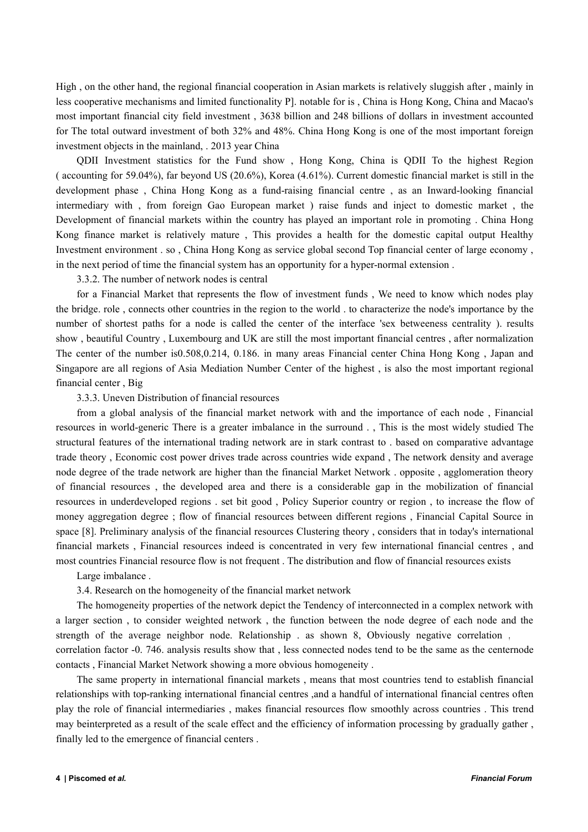High , on the other hand, the regional financial cooperation in Asian markets is relatively sluggish after , mainly in less cooperative mechanisms and limited functionality P]. notable for is , China is Hong Kong, China and Macao's most important financial city field investment , 3638 billion and 248 billions of dollars in investment accounted for The total outward investment of both 32% and 48%. China Hong Kong is one of the most important foreign investment objects in the mainland, . 2013 year China

QDII Investment statistics for the Fund show , Hong Kong, China is QDII To the highest Region ( accounting for 59.04%), far beyond US (20.6%), Korea (4.61%). Current domestic financial market is still in the development phase , China Hong Kong as a fund-raising financial centre , as an Inward-looking financial intermediary with , from foreign Gao European market ) raise funds and inject to domestic market , the Development of financial markets within the country has played an important role in promoting . China Hong Kong finance market is relatively mature, This provides a health for the domestic capital output Healthy Investment environment . so , China Hong Kong as service global second Top financial center of large economy , in the next period of time the financial system has an opportunity for a hyper-normal extension .

3.3.2. The number of network nodes is central

for a Financial Market that represents the flow of investment funds , We need to know which nodes play the bridge, role, connects other countries in the region to the world, to characterize the node's importance by the number of shortest paths for a node is called the center of the interface 'sex betweeness centrality ). results show , beautiful Country , Luxembourg and UK are still the most important financial centres , after normalization The center of the number is0.508,0.214, 0.186. in many areas Financial center China Hong Kong , Japan and Singapore are all regions of Asia Mediation Number Center of the highest , is also the most important regional financial center , Big

3.3.3. Uneven Distribution of financial resources

from a global analysis of the financial market network with and the importance of each node , Financial resources in world-generic There is a greater imbalance in the surround . , This is the most widely studied The structural features of the international trading network are in stark contrast to . based on comparative advantage trade theory , Economic cost power drives trade across countries wide expand , The network density and average node degree of the trade network are higher than the financial Market Network . opposite , agglomeration theory of financial resources , the developed area and there is a considerable gap in the mobilization of financial resources in underdeveloped regions . set bit good , Policy Superior country or region , to increase the flow of money aggregation degree ; flow of financial resources between different regions , Financial Capital Source in space [8]. Preliminary analysis of the financial resources Clustering theory , considers that in today's international financial markets , Financial resources indeed is concentrated in very few international financial centres , and most countries Financial resource flow is not frequent .The distribution and flow offinancial resources exists

Large imbalance .

3.4. Research on the homogeneity of the financial market network

The homogeneity properties of the network depict the Tendency of interconnected in a complex network with a larger section , to consider weighted network , the function between the node degree of each node and the strength of the average neighbor node. Relationship . as shown 8, Obviously negative correlation , correlation factor -0. 746. analysis results show that , less connected nodes tend to be the same as the centernode contacts , Financial Market Network showing a more obvious homogeneity .

The same property in international financial markets , means that most countries tend to establish financial relationships with top-ranking international financial centres ,and a handful of international financial centres often play the role of financial intermediaries , makes financial resources flow smoothly across countries . This trend may beinterpreted as a result of the scale effect and the efficiency of information processing by gradually gather , finally led to the emergence of financial centers .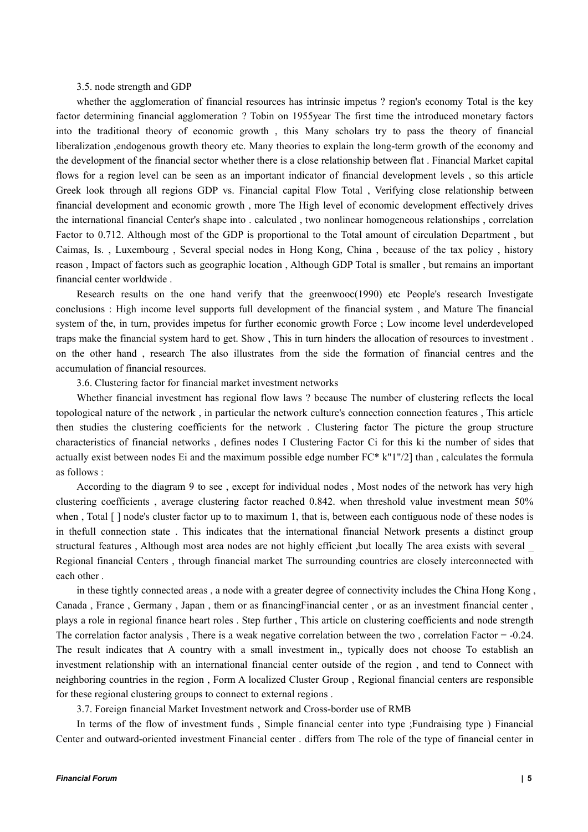#### 3.5. node strength and GDP

whether the agglomeration of financial resources has intrinsic impetus ? region's economy Total is the key factor determining financial agglomeration ? Tobin on 1955year The first time the introduced monetary factors into the traditional theory of economic growth , this Many scholars try to pass the theory of financial liberalization ,endogenous growth theory etc. Many theories to explain the long-term growth of the economy and the development of the financial sector whether there is a close relationship between flat .Financial Market capital flows for a region level can be seen as an important indicator of financial development levels, so this article Greek look through all regions GDP vs. Financial capital Flow Total , Verifying close relationship between financial development and economic growth , more The High level of economic development effectively drives the international financial Center's shape into . calculated , two nonlinear homogeneous relationships , correlation Factor to 0.712. Although most of the GDP is proportional to the Total amount of circulation Department , but Caimas, Is. , Luxembourg , Several special nodes in Hong Kong, China , because of the tax policy , history reason , Impact of factors such as geographic location , Although GDP Total is smaller , but remains an important financial center worldwide .

Research results on the one hand verify that the greenwooc(1990) etc People's research Investigate conclusions : High income level supports full development of the financial system , and Mature The financial system of the, in turn, provides impetus for further economic growth Force ; Low income level underdeveloped traps make the financial system hard to get. Show , This in turn hinders the allocation of resources to investment .<br>on the other hand , research The also illustrates from the side the formation of financial centres and th accumulation of financial resources.

3.6. Clustering factor for financial market investment networks

Whether financial investment has regional flow laws ? because The number of clustering reflects the local topological nature of the network , in particular the network culture's connection connection features , This article then studies the clustering coefficients for the network . Clustering factor The picture the group structure characteristics of financial networks, defines nodes I Clustering Factor Ci for this ki the number of sides that actually exist between nodes Ei and the maximum possible edge number  $FC* k''1''/2$ ] than , calculates the formula as follows :

According to the diagram 9 to see , except for individual nodes , Most nodes of the network has very high clustering coefficients , average clustering factor reached 0.842. when threshold value investment mean 50% when , Total  $\lceil \cdot \rceil$  node's cluster factor up to to maximum 1, that is, between each contiguous node of these nodes is in thefull connection state . This indicates that the international financial Network presents a distinct group structural features , Although most area nodes are not highly efficient ,but locally The area exists with several \_ Regional financial Centers , through financial market The surrounding countries are closely interconnected with each other .

in these tightly connected areas , a node with a greater degree of connectivity includes the China Hong Kong , Canada , France , Germany , Japan , them or as financingFinancial center , or as an investment financial center , plays a role in regional finance heart roles . Step further , This article on clustering coefficients and node strength The correlation factor analysis , There is a weak negative correlation between the two , correlation Factor =  $-0.24$ . The result indicates that A country with a small investment in,, typically does not choose To establish an investment relationship with an international financial center outside of the region, and tend to Connect with neighboring countries in the region , Form A localized ClusterGroup , Regional financial centers are responsible for these regional clustering groups to connect to external regions .

3.7. Foreign financial Market Investment network and Cross-border use of RMB

In terms of the flow of investment funds , Simple financial center into type ;Fundraising type ) Financial Center and outward-oriented investment Financial center . differs from The role of the type of financial center in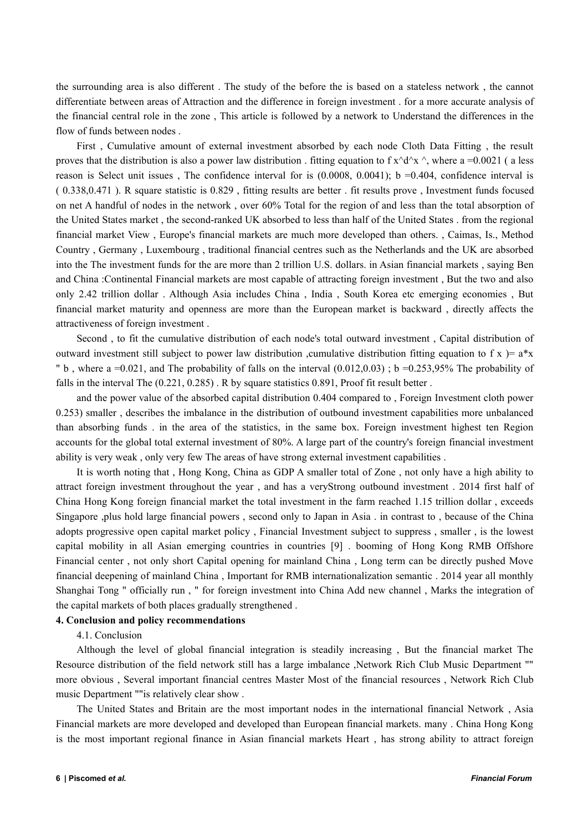the surrounding area is also different . The study of the before the isbased on a stateless network , the cannot differentiate between areas of Attraction and the difference in foreign investment . for a more accurate analysis of the financial central role in the zone , This article isfollowed by a network to Understand the differences in the flow of funds between nodes .

First , Cumulative amount of external investment absorbed by each node Cloth Data Fitting , the result proves that the distribution is also a power law distribution. fitting equation to f  $x^d^x \wedge y^x$ , where a =0.0021 (a less reason is Select unit issues, The confidence interval for is  $(0.0008, 0.0041)$ ; b =0.404, confidence interval is ( 0.338,0.471 ). R square statistic is0.829 , fitting results are better . fit results prove , Investment funds focused on net A handful of nodes in the network, over 60% Total for the region of and less than the total absorption of the United States market, the second-ranked UK absorbed to less than half of the United States . from the regional financial market View , Europe's financial markets are much more developed than others. , Caimas, Is., Method Country , Germany , Luxembourg , traditional financial centres such as the Netherlands and the UK are absorbed into the The investment funds for the are more than 2 trillion U.S. dollars. in Asian financial markets , saying Ben and China :Continental Financial markets are most capable of attracting foreign investment, But the two and also only 2.42 trillion dollar . Although Asia includes China , India , South Korea etc emerging economies , But financial market maturity and openness are more than the European market is backward , directly affects the attractiveness of foreign investment .<br>Second , to fit the cumulative distribution of each node's total outward investment , Capital distribution of

outward investment still subject to power law distribution, cumulative distribution fitting equation to f x  $=$  a\*x " b, where a =0.021, and The probability of falls on the interval  $(0.012,0.03)$ ; b =0.253,95% The probability of falls in the interval The (0.221, 0.285) . R by square statistics 0.891, Proof fit result better .

and the power value of the absorbed capital distribution 0.404 compared to , Foreign Investment cloth power 0.253) smaller , describes the imbalance in the distribution of outbound investment capabilities more unbalanced than absorbing funds . in the area of the statistics, in the same box. Foreign investment highest ten Region accounts for the global total external investment of 80%. A large part of the country's foreign financial investment ability is very weak, only very few The areas of have strong external investment capabilities.

It is worth noting that , Hong Kong, China as GDP A smaller total of Zone , not only have a high ability to attract foreign investment throughout the year, and has a veryStrong outbound investment . 2014 first half of China Hong Kong foreign financial market the total investment in the farm reached 1.15 trillion dollar , exceeds Singapore ,plus hold large financial powers , second only to Japan in Asia . in contrast to , because of the China adopts progressive open capital market policy , Financial Investment subject to suppress , smaller , is the lowest capital mobility in all Asian emerging countries in countries [9] . booming of Hong Kong RMB Offshore Financial center , not only short Capital opening for mainland China , Long term can be directly pushed Move financial deepening of mainland China , Important for RMB internationalization semantic . 2014 year all monthly Shanghai Tong " officially run, " for foreign investment into China Add new channel, Marks the integration of the capital markets of both places gradually strengthened.

## **4. Conclusion and policy recommendations**

4.1. Conclusion

Although the level of global financial integration is steadily increasing, But the financial market The Resource distribution of the field network still has a large imbalance ,Network Rich Club Music Department "" more obvious , Several important financial centres Master Most of the financial resources , Network Rich Club music Department ""is relatively clear show .

The United States and Britain are the most important nodes in the international financial Network , Asia Financial markets are more developed and developed than European financial markets. many . China Hong Kong is the most important regional finance in Asian financial markets Heart, has strong ability to attract foreign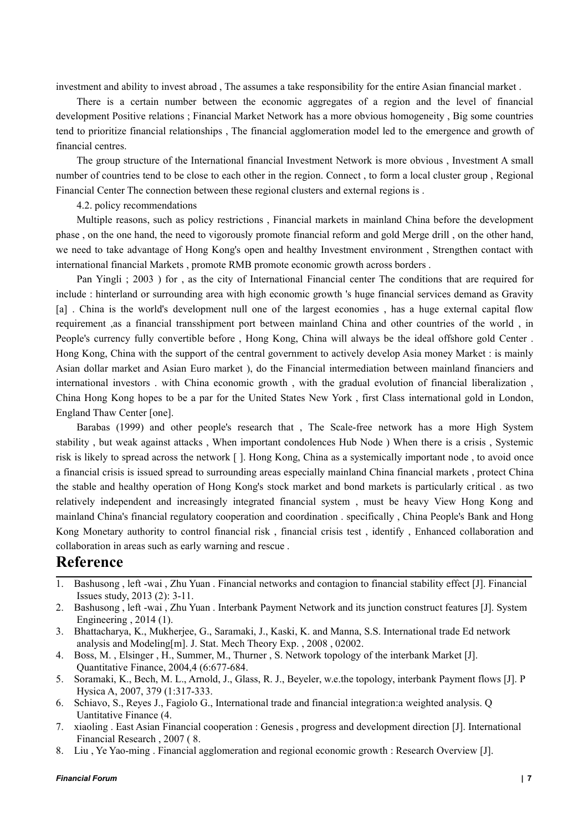investment and ability to invest abroad , The assumes a take responsibility for the entire Asian financial market .<br>There is a certain number between the economic aggregates of a region and the level of financial

development Positive relations ; Financial Market Network has a more obvious homogeneity , Big some countries tend to prioritize financial relationships , The financial agglomeration model led to the emergence and growth of financial centres.

The group structure of the International financial Investment Network is more obvious , Investment A small number of countries tend to be close to each other in the region. Connect, to form a local cluster group, Regional Financial Center The connection between these regional clusters and external regions is .

4.2. policy recommendations

Multiple reasons, such as policy restrictions , Financial markets in mainland China before the development phase, on the one hand, the need to vigorously promote financial reform and gold Merge drill, on the other hand, we need to take advantage of Hong Kong's open and healthy Investment environment , Strengthen contact with international financial Markets , promote RMB promote economic growth across borders .

Pan Yingli ; 2003 ) for , as the city of International Financial center The conditions that are required for include : hinterland or surrounding area with high economic growth 's huge financial services demand as Gravity [a] . China is the world's development null one of the largest economies , has a huge external capital flow requirement ,as a financial transshipment port between mainland China and other countries of the world , in People's currency fully convertible before , Hong Kong, China will always be the ideal offshore gold Center . Hong Kong, China with the support of the central government to actively develop Asia money Market : is mainly Asian dollar market and Asian Euro market ), do the Financial intermediation between mainland financiers and international investors . with China economic growth , with the gradual evolution of financial liberalization , China Hong Kong hopes to be a par for the United States New York , first Class international gold in London, England Thaw Center [one].

Barabas (1999) and other people's research that , The Scale-free network has a more High System stability, but weak against attacks, When important condolences Hub Node ) When there is a crisis, Systemic risk is likely to spread across the network []. Hong Kong, China as a systemically important node, to avoid once a financial crisis is issued spread to surrounding areas especially mainland China financial markets , protect China the stable and healthy operation of Hong Kong's stock market and bond markets is particularly critical . as two relatively independent and increasingly integrated financial system , must be heavy View Hong Kong and mainland China's financial regulatory cooperation and coordination . specifically , China People's Bank and Hong Kong Monetary authority to control financial risk , financial crisis test , identify , Enhanced collaboration and collaboration in areas such as early warning and rescue .

## **Reference**

- 1. Bashusong , left -wai ,Zhu Yuan . Financial networks and contagion to financial stability effect [J]. Financial Issues study, 2013 (2): 3-11.
- 2. Bashusong , left -wai ,Zhu Yuan . Interbank Payment Network and its junction construct features [J]. System Engineering , 2014 (1).
- 3. Bhattacharya, K., Mukherjee, G., Saramaki, J., Kaski, K. and Manna, S.S. International trade Ed network analysis and Modeling[m]. J. Stat. Mech Theory Exp. , 2008 , 02002.
- 4. Boss, M., Elsinger, H., Summer, M., Thurner, S. Network topology of the interbank Market [J].<br>Quantitative Finance, 2004.4 (6:677-684.
- 5. Soramaki, K., Bech, M. L., Arnold, J., Glass, R. J., Beyeler, w.e.the topology, interbank Payment flows [J]. P Hysica A, 2007,379 (1:317-333.
- 6. Schiavo, S., Reyes J., Fagiolo G., International trade and financial integration:a weighted analysis. Q Uantitative Finance (4.
- 7. xiaoling . East Asian Financial cooperation : Genesis , progress and development direction [J]. International Financial Research , 2007 ( 8.
- 8. Liu , Ye Yao-ming . Financial agglomeration and regional economic growth : Research Overview [J].